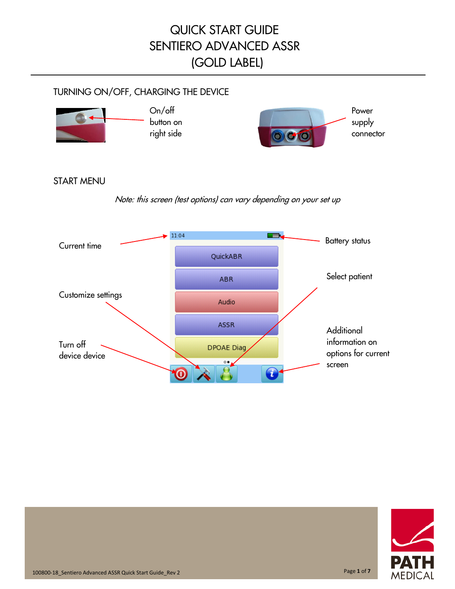#### TURNING ON/OFF, CHARGING THE DEVICE



#### START MENU

Note: this screen (test options) can vary depending on your set up



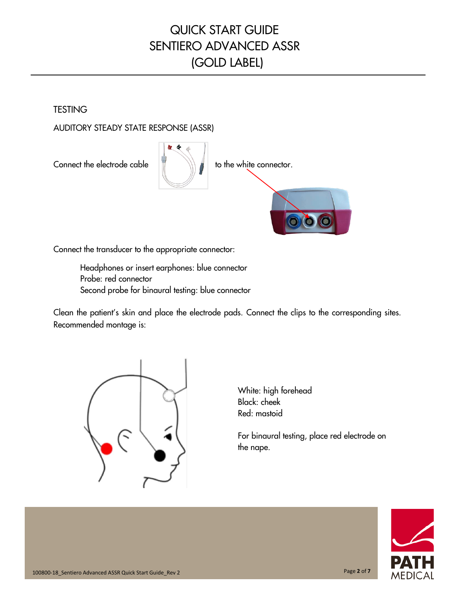**TESTING** 

AUDITORY STEADY STATE RESPONSE (ASSR)



Connect the transducer to the appropriate connector:

Headphones or insert earphones: blue connector Probe: red connector Second probe for binaural testing: blue connector

Clean the patient's skin and place the electrode pads. Connect the clips to the corresponding sites. Recommended montage is:



White: high forehead Black: cheek Red: mastoid

For binaural testing, place red electrode on the nape.

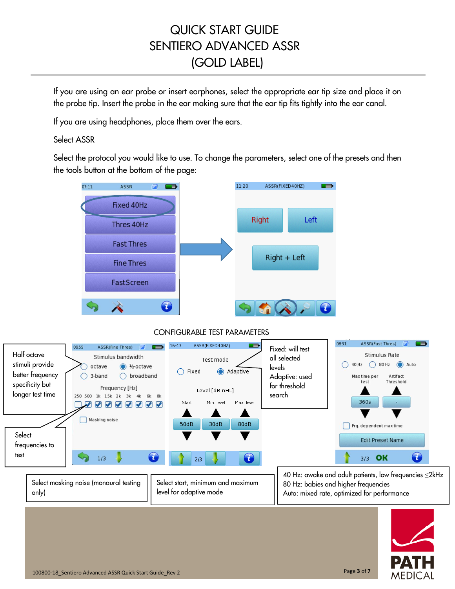If you are using an ear probe or insert earphones, select the appropriate ear tip size and place it on the probe tip. Insert the probe in the ear making sure that the ear tip fits tightly into the ear canal.

If you are using headphones, place them over the ears.

#### Select ASSR

**Select** 

test

Select the protocol you would like to use. To change the parameters, select one of the presets and then the tools button at the bottom of the page:

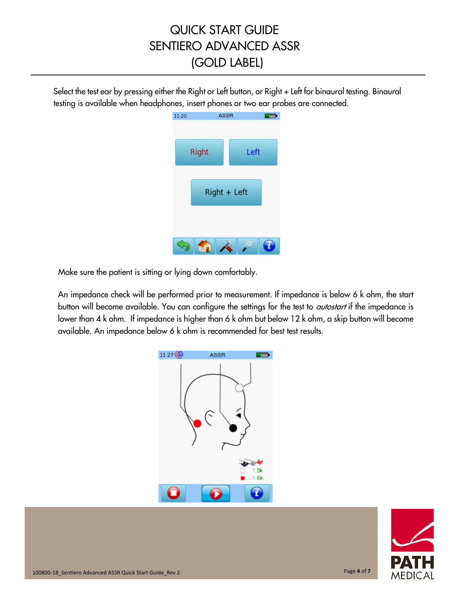Select the test ear by pressing either the Right or Left button, or Right + Left for binaural testing. Binaural testing is available when headphones, insert phones or two ear probes are connected.

| 11:20 | <b>ASSR</b>  |              |  |
|-------|--------------|--------------|--|
|       | <b>Right</b> | Left         |  |
|       |              | Right + Left |  |
|       |              |              |  |

Make sure the patient is sitting or lying down comfortably.

An impedance check will be performed prior to measurement. If impedance is below 6 k ohm, the start button will become available. You can configure the settings for the test to *autostart* if the impedance is lower than 4 k ohm. If impedance is higher than 6 k ohm but below 12 k ohm, a skip button will become available. An impedance below 6 k ohm is recommended for best test results.



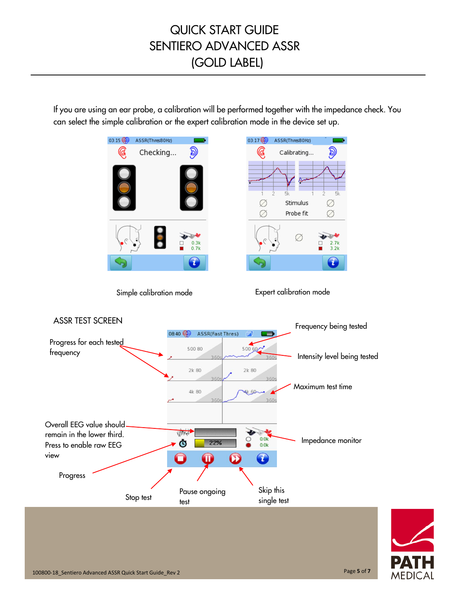If you are using an ear probe, a calibration will be performed together with the impedance check. You can select the simple calibration or the expert calibration mode in the device set up.

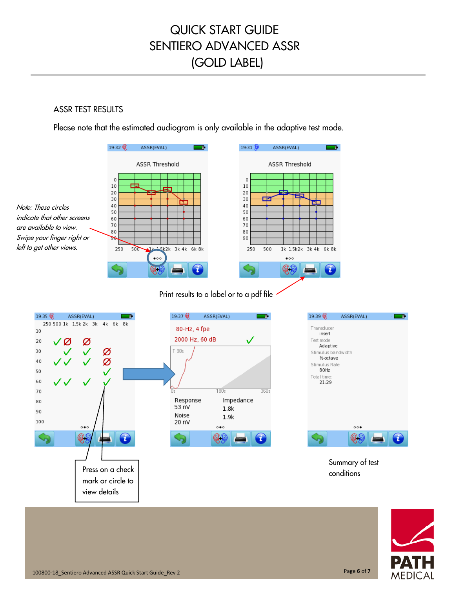#### ASSR TEST RESULTS

Please note that the estimated audiogram is only available in the adaptive test mode.









Summary of test